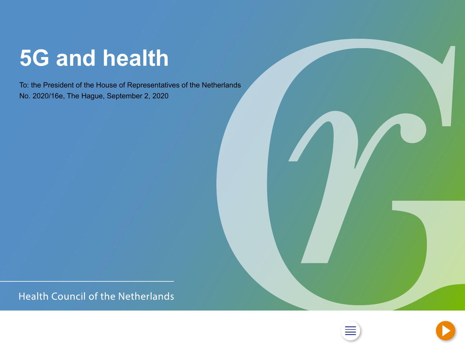## <span id="page-0-0"></span>**5G and health**

To: the President of the House of Representatives of the Netherlands No. 2020/16e, The Hague, September 2, 2020

**Health Council of the Netherlands** 



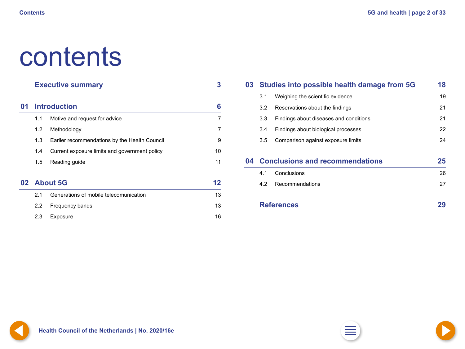# <span id="page-1-0"></span>contents

|    |                     | <b>Executive summary</b>                      | 3              |
|----|---------------------|-----------------------------------------------|----------------|
| 01 | <b>Introduction</b> | 6                                             |                |
|    | 1.1                 | Motive and request for advice                 | $\overline{7}$ |
|    | 1.2                 | Methodology                                   | $\overline{7}$ |
|    | 1.3                 | Earlier recommendations by the Health Council | 9              |
|    | 1.4                 | Current exposure limits and government policy | 10             |
|    | 1.5                 | Reading guide                                 | 11             |
|    | 02 About 5G         |                                               | 12             |
|    | 2.1                 | Generations of mobile telecomunication        | 13             |
|    | 2.2                 | Frequency bands                               | 13             |
|    | 2.3                 | Exposure                                      | 16             |

| 03 |                                    | Studies into possible health damage from 5G | 18 |  |
|----|------------------------------------|---------------------------------------------|----|--|
|    | 3.1                                | Weighing the scientific evidence            | 19 |  |
|    | 3.2                                | Reservations about the findings             | 21 |  |
|    | 3.3                                | Findings about diseases and conditions      | 21 |  |
|    | 3.4                                | Findings about biological processes         | 22 |  |
|    | 3.5                                | Comparison against exposure limits          | 24 |  |
|    | 04 Conclusions and recommendations |                                             |    |  |
|    | 4.1                                | Conclusions                                 | 26 |  |
|    | 4.2                                | Recommendations                             | 27 |  |
|    |                                    | <b>References</b>                           | 29 |  |



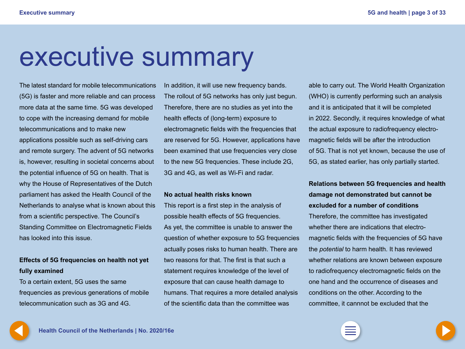## <span id="page-2-0"></span>executive summary

The latest standard for mobile telecommunications (5G) is faster and more reliable and can process more data at the same time. 5G was developed to cope with the increasing demand for mobile telecommunications and to make new

applications possible such as self-driving cars and remote surgery. The advent of 5G networks is, however, resulting in societal concerns about the potential influence of 5G on health. That is why the House of Representatives of the Dutch parliament has asked the Health Council of the Netherlands to analyse what is known about this from a scientific perspective. The Council's Standing Committee on Electromagnetic Fields has looked into this issue.

## **Effects of 5G frequencies on health not yet fully examined**

To a certain extent, 5G uses the same frequencies as previous generations of mobile telecommunication such as 3G and 4G.

In addition, it will use new frequency bands. The rollout of 5G networks has only just begun. Therefore, there are no studies as yet into the health effects of (long-term) exposure to electromagnetic fields with the frequencies that are reserved for 5G. However, applications have been examined that use frequencies very close to the new 5G frequencies. These include 2G, 3G and 4G, as well as Wi-Fi and radar.

#### **No actual health risks known**

This report is a first step in the analysis of possible health effects of 5G frequencies. As yet, the committee is unable to answer the question of whether exposure to 5G frequencies actually poses risks to human health. There are two reasons for that. The first is that such a statement requires knowledge of the level of exposure that can cause health damage to humans. That requires a more detailed analysis of the scientific data than the committee was

able to carry out. The World Health Organization (WHO) is currently performing such an analysis and it is anticipated that it will be completed in 2022. Secondly, it requires knowledge of what the actual exposure to radiofrequency electromagnetic fields will be after the introduction of 5G. That is not yet known, because the use of 5G, as stated earlier, has only partially started.

## **Relations between 5G frequencies and health damage not demonstrated but cannot be**

**excluded for a number of conditions** Therefore, the committee has investigated whether there are indications that electromagnetic fields with the frequencies of 5G have the *potential* to harm health. It has reviewed whether relations are known between exposure to radiofrequency electromagnetic fields on the one hand and the occurrence of diseases and conditions on the other. According to the committee, it cannnot be excluded that the



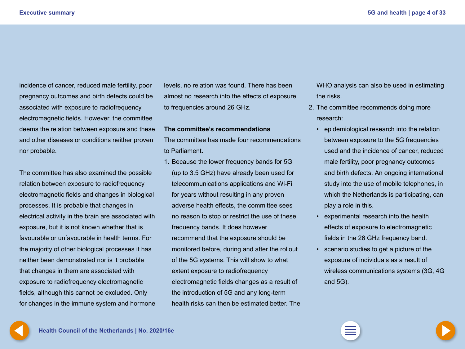<span id="page-3-0"></span>incidence of cancer, reduced male fertility, poor pregnancy outcomes and birth defects could be associated with exposure to radiofrequency electromagnetic fields. However, the committee deems the relation between exposure and these and other diseases or conditions neither proven nor probable.

The committee has also examined the possible relation between exposure to radiofrequency electromagnetic fields and changes in biological processes. It is probable that changes in electrical activity in the brain are associated with exposure, but it is not known whether that is favourable or unfavourable in health terms. For the majority of other biological processes it has neither been demonstrated nor is it probable that changes in them are associated with exposure to radiofrequency electromagnetic fields, although this cannot be excluded. Only for changes in the immune system and hormone levels, no relation was found. There has been almost no research into the effects of exposure to frequencies around 26 GHz.

#### **The committee's recommendations**

The committee has made four recommendations to Parliament.

1. Because the lower frequency bands for 5G (up to 3.5 GHz) have already been used for telecommunications applications and Wi-Fi for years without resulting in any proven adverse health effects, the committee sees no reason to stop or restrict the use of these frequency bands. It does however recommend that the exposure should be monitored before, during and after the rollout of the 5G systems. This will show to what extent exposure to radiofrequency electromagnetic fields changes as a result of the introduction of 5G and any long-term health risks can then be estimated better. The WHO analysis can also be used in estimating the risks.

- 2. The committee recommends doing more research:
	- epidemiological research into the relation between exposure to the 5G frequencies used and the incidence of cancer, reduced male fertility, poor pregnancy outcomes and birth defects. An ongoing international study into the use of mobile telephones, in which the Netherlands is participating, can play a role in this.
	- experimental research into the health effects of exposure to electromagnetic fields in the 26 GHz frequency band.
	- scenario studies to get a picture of the exposure of individuals as a result of wireless communications systems (3G, 4G and 5G).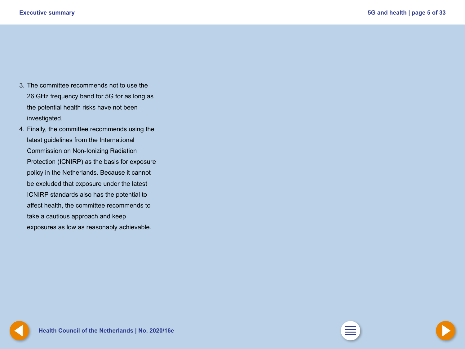- <span id="page-4-0"></span>3. The committee recommends not to use the 26 GHz frequency band for 5G for as long as the potential health risks have not been investigated.
- 4. Finally, the committee recommends using the latest guidelines from the International Commission on Non-Ionizing Radiation Protection (ICNIRP) as the basis for exposure policy in the Netherlands. Because it cannot be excluded that exposure under the latest ICNIRP standards also has the potential to affect health, the committee recommends to take a cautious approach and keep exposures as low as reasonably achievable.



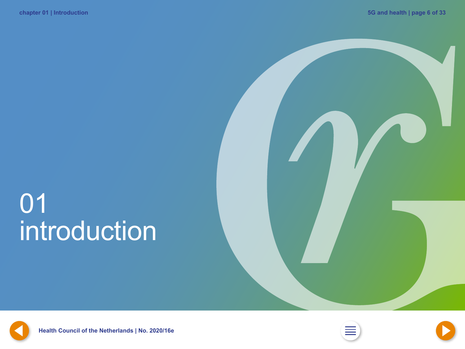# <span id="page-5-0"></span>01 introduction



**Health Council of the Netherlands | No. [2](#page-1-0)020/16e** 



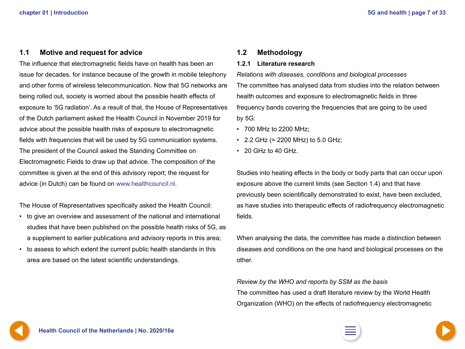### <span id="page-6-0"></span>**1.1 Motive and request for advice**

The influence that electromagnetic fields have on health has been an issue for decades, for instance because of the growth in mobile telephony and other forms of wireless telecommunication. Now that 5G networks are being rolled out, society is worried about the possible health effects of exposure to '5G radiation'. As a result of that, the House of Representatives of the Dutch parliament asked the Health Council in November 2019 for advice about the possible health risks of exposure to electromagnetic fields with frequencies that will be used by 5G communication systems. The president of the Council asked the Standing Committee on Electromagnetic Fields to draw up that advice. The composition of the committee is given at the end of this advisory report; the request for advice (in Dutch) can be found on [www.healthcouncil.nl.](http://www.healthcouncil.nl)

The House of Representatives specifically asked the Health Council:

- to give an overview and assessment of the national and international studies that have been published on the possible health risks of 5G, as a supplement to earlier publications and advisory reports in this area;
- to assess to which extent the current public health standards in this area are based on the latest scientific understandings.

#### **1.2 Methodology**

#### **1.2.1 Literature research**

*Relations with diseases, conditions and biological processes* The committee has analysed data from studies into the relation between health outcomes and exposure to electromagnetic fields in three frequency bands covering the frequencies that are going to be used by 5G:

- 700 MHz to 2200 MHz;
- 2.2 GHz (= 2200 MHz) to 5.0 GHz;
- 20 GHz to 40 GHz.

Studies into heating effects in the body or body parts that can occur upon exposure above the current limits (see Section 1.4) and that have previously been scientifically demonstrated to exist, have been excluded, as have studies into therapeutic effects of radiofrequency electromagnetic fields.

When analysing the data, the committee has made a distinction between diseases and conditions on the one hand and biological processes on the other.

*Review by the WHO and reports by SSM as the basis* The committee has used a draft literature review by the World Health Organization (WHO) on the effects of radiofrequency electromagnetic

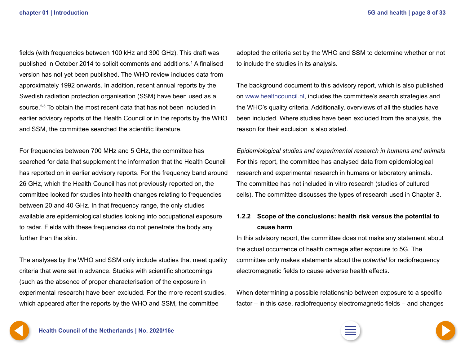<span id="page-7-0"></span>fields (with frequencies between 100 kHz and 300 GHz). This draft was published in October 2014 to solicit comments and additions.1 A finalised version has not yet been published. The WHO review includes data from approximately 1992 onwards. In addition, recent annual reports by the Swedish radiation protection organisation (SSM) have been used as a source.<sup>2-5</sup> To obtain the most recent data that has not been included in earlier advisory reports of the Health Council or in the reports by the WHO and SSM, the committee searched the scientific literature.

For frequencies between 700 MHz and 5 GHz, the committee has searched for data that supplement the information that the Health Council has reported on in earlier advisory reports. For the frequency band around 26 GHz, which the Health Council has not previously reported on, the committee looked for studies into health changes relating to frequencies between 20 and 40 GHz. In that frequency range, the only studies available are epidemiological studies looking into occupational exposure to radar. Fields with these frequencies do not penetrate the body any further than the skin.

The analyses by the WHO and SSM only include studies that meet quality criteria that were set in advance. Studies with scientific shortcomings (such as the absence of proper characterisation of the exposure in experimental research) have been excluded. For the more recent studies, which appeared after the reports by the WHO and SSM, the committee

adopted the criteria set by the WHO and SSM to determine whether or not to include the studies in its analysis.

The background document to this advisory report, which is also published on [www.healthcouncil.nl](http://www.healthcouncil.nl), includes the committee's search strategies and the WHO's quality criteria. Additionally, overviews of all the studies have been included. Where studies have been excluded from the analysis, the reason for their exclusion is also stated.

*Epidemiological studies and experimental research in humans and animals* For this report, the committee has analysed data from epidemiological research and experimental research in humans or laboratory animals. The committee has not included in vitro research (studies of cultured cells). The committee discusses the types of research used in Chapter 3.

## **1.2.2 Scope of the conclusions: health risk versus the potential to cause harm**

In this advisory report, the committee does not make any statement about the actual occurrence of health damage after exposure to 5G. The committee only makes statements about the *potential* for radiofrequency electromagnetic fields to cause adverse health effects.

When determining a possible relationship between exposure to a specific factor – in this case, radiofrequency electromagnetic fields – and changes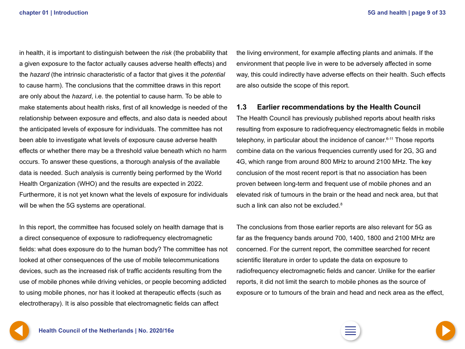<span id="page-8-0"></span>in health, it is important to distinguish between the *risk* (the probability that a given exposure to the factor actually causes adverse health effects) and the *hazard* (the intrinsic characteristic of a factor that gives it the *potential* to cause harm). The conclusions that the committee draws in this report are only about the *hazard*, i.e. the potential to cause harm. To be able to make statements about health risks, first of all knowledge is needed of the relationship between exposure and effects, and also data is needed about the anticipated levels of exposure for individuals. The committee has not been able to investigate what levels of exposure cause adverse health effects or whether there may be a threshold value beneath which no harm occurs. To answer these questions, a thorough analysis of the available data is needed. Such analysis is currently being performed by the World Health Organization (WHO) and the results are expected in 2022. Furthermore, it is not yet known what the levels of exposure for individuals will be when the 5G systems are operational.

In this report, the committee has focused solely on health damage that is a direct consequence of exposure to radiofrequency electromagnetic fields: what does exposure do to the human body? The committee has not looked at other consequences of the use of mobile telecommunications devices, such as the increased risk of traffic accidents resulting from the use of mobile phones while driving vehicles, or people becoming addicted to using mobile phones, nor has it looked at therapeutic effects (such as electrotherapy). It is also possible that electromagnetic fields can affect

the living environment, for example affecting plants and animals. If the environment that people live in were to be adversely affected in some way, this could indirectly have adverse effects on their health. Such effects are also outside the scope of this report.

### **1.3 Earlier recommendations by the Health Council**

The Health Council has previously published reports about health risks resulting from exposure to radiofrequency electromagnetic fields in mobile telephony, in particular about the incidence of cancer. $6-11$  Those reports combine data on the various frequencies currently used for 2G, 3G and 4G, which range from around 800 MHz to around 2100 MHz. The key conclusion of the most recent report is that no association has been proven between long-term and frequent use of mobile phones and an elevated risk of tumours in the brain or the head and neck area, but that such a link can also not be excluded.<sup>8</sup>

The conclusions from those earlier reports are also relevant for 5G as far as the frequency bands around 700, 1400, 1800 and 2100 MHz are concerned. For the current report, the committee searched for recent scientific literature in order to update the data on exposure to radiofrequency electromagnetic fields and cancer. Unlike for the earlier reports, it did not limit the search to mobile phones as the source of exposure or to tumours of the brain and head and neck area as the effect,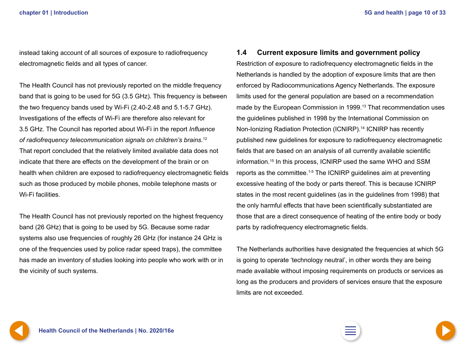<span id="page-9-0"></span>instead taking account of all sources of exposure to radiofrequency electromagnetic fields and all types of cancer.

The Health Council has not previously reported on the middle frequency band that is going to be used for 5G (3.5 GHz). This frequency is between the two frequency bands used by Wi-Fi (2.40-2.48 and 5.1-5.7 GHz). Investigations of the effects of Wi-Fi are therefore also relevant for 3.5 GHz. The Council has reported about Wi-Fi in the report *Influence of radiofrequency telecommunication signals on children's brains*. 12 That report concluded that the relatively limited available data does not indicate that there are effects on the development of the brain or on health when children are exposed to radiofrequency electromagnetic fields such as those produced by mobile phones, mobile telephone masts or Wi-Fi facilities.

The Health Council has not previously reported on the highest frequency band (26 GHz) that is going to be used by 5G. Because some radar systems also use frequencies of roughly 26 GHz (for instance 24 GHz is one of the frequencies used by police radar speed traps), the committee has made an inventory of studies looking into people who work with or in the vicinity of such systems.

#### **1.4 Current exposure limits and government policy**

Restriction of exposure to radiofrequency electromagnetic fields in the Netherlands is handled by the adoption of exposure limits that are then enforced by Radiocommunications Agency Netherlands. The exposure limits used for the general population are based on a recommendation made by the European Commission in 1999.<sup>13</sup> That recommendation uses the guidelines published in 1998 by the International Commission on Non-Ionizing Radiation Protection (ICNIRP).14 ICNIRP has recently published new guidelines for exposure to radiofrequency electromagnetic fields that are based on an analysis of all currently available scientific information.15 In this process, ICNIRP used the same WHO and SSM reports as the committee.1-5 The ICNIRP guidelines aim at preventing excessive heating of the body or parts thereof. This is because ICNIRP states in the most recent guidelines (as in the guidelines from 1998) that the only harmful effects that have been scientifically substantiated are those that are a direct consequence of heating of the entire body or body parts by radiofrequency electromagnetic fields.

The Netherlands authorities have designated the frequencies at which 5G is going to operate 'technology neutral', in other words they are being made available without imposing requirements on products or services as long as the producers and providers of services ensure that the exposure limits are not exceeded.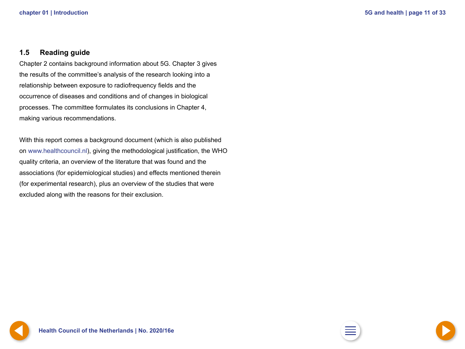### <span id="page-10-0"></span>**1.5 Reading guide**

Chapter 2 contains background information about 5G. Chapter 3 gives the results of the committee's analysis of the research looking into a relationship between exposure to radiofrequency fields and the occurrence of diseases and conditions and of changes in biological processes. The committee formulates its conclusions in Chapter 4, making various recommendations.

With this report comes a background document (which is also published on [www.healthcouncil.nl](http://www.healthcouncil.nl)), giving the methodological justification, the WHO quality criteria, an overview of the literature that was found and the associations (for epidemiological studies) and effects mentioned therein (for experimental research), plus an overview of the studies that were excluded along with the reasons for their exclusion.



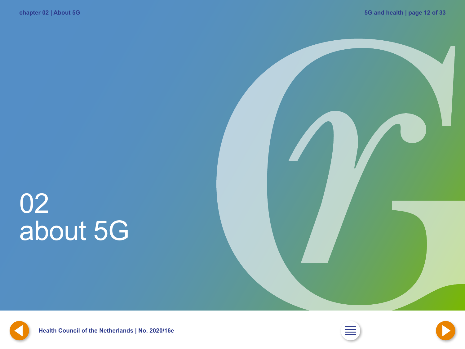# <span id="page-11-0"></span>02 about 5G





**[11](#page-10-0) Health Council of the Netherlands | No. 2020/16e [2](#page-1-0) [13](#page-12-0)**



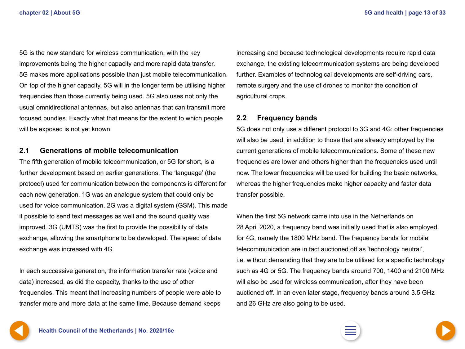<span id="page-12-0"></span>5G is the new standard for wireless communication, with the key improvements being the higher capacity and more rapid data transfer. 5G makes more applications possible than just mobile telecommunication. On top of the higher capacity, 5G will in the longer term be utilising higher frequencies than those currently being used. 5G also uses not only the usual omnidirectional antennas, but also antennas that can transmit more focused bundles. Exactly what that means for the extent to which people will be exposed is not yet known.

#### **2.1 Generations of mobile telecomunication**

The fifth generation of mobile telecommunication, or 5G for short, is a further development based on earlier generations. The 'language' (the protocol) used for communication between the components is different for each new generation. 1G was an analogue system that could only be used for voice communication. 2G was a digital system (GSM). This made it possible to send text messages as well and the sound quality was improved. 3G (UMTS) was the first to provide the possibility of data exchange, allowing the smartphone to be developed. The speed of data exchange was increased with 4G.

In each successive generation, the information transfer rate (voice and data) increased, as did the capacity, thanks to the use of other frequencies. This meant that increasing numbers of people were able to transfer more and more data at the same time. Because demand keeps increasing and because technological developments require rapid data exchange, the existing telecommunication systems are being developed further. Examples of technological developments are self-driving cars, remote surgery and the use of drones to monitor the condition of agricultural crops.

## **2.2 Frequency bands**

5G does not only use a different protocol to 3G and 4G: other frequencies will also be used, in addition to those that are already employed by the current generations of mobile telecommunications. Some of these new frequencies are lower and others higher than the frequencies used until now. The lower frequencies will be used for building the basic networks, whereas the higher frequencies make higher capacity and faster data transfer possible.

When the first 5G network came into use in the Netherlands on 28 April 2020, a frequency band was initially used that is also employed for 4G, namely the 1800 MHz band. The frequency bands for mobile telecommunication are in fact auctioned off as 'technology neutral', i.e. without demanding that they are to be utilised for a specific technology such as 4G or 5G. The frequency bands around 700, 1400 and 2100 MHz will also be used for wireless communication, after they have been auctioned off. In an even later stage, frequency bands around 3.5 GHz and 26 GHz are also going to be used.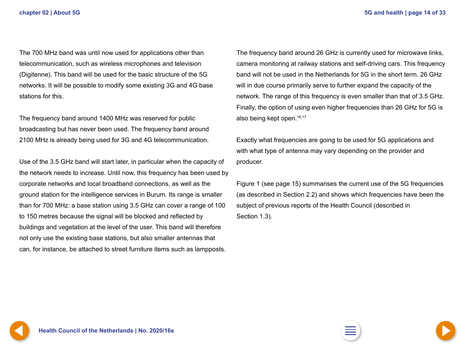<span id="page-13-0"></span>The 700 MHz band was until now used for applications other than telecommunication, such as wireless microphones and television (Digitenne). This band will be used for the basic structure of the 5G networks. It will be possible to modify some existing 3G and 4G base stations for this.

The frequency band around 1400 MHz was reserved for public broadcasting but has never been used. The frequency band around 2100 MHz is already being used for 3G and 4G telecommunication.

Use of the 3.5 GHz band will start later, in particular when the capacity of the network needs to increase. Until now, this frequency has been used by corporate networks and local broadband connections, as well as the ground station for the intelligence services in Burum. Its range is smaller than for 700 MHz: a base station using 3.5 GHz can cover a range of 100 to 150 metres because the signal will be blocked and reflected by buildings and vegetation at the level of the user. This band will therefore not only use the existing base stations, but also smaller antennas that can, for instance, be attached to street furniture items such as lampposts.

The frequency band around 26 GHz is currently used for microwave links, camera monitoring at railway stations and self-driving cars. This frequency band will not be used in the Netherlands for 5G in the short term. 26 GHz will in due course primarily serve to further expand the capacity of the network. The range of this frequency is even smaller than that of 3.5 GHz. Finally, the option of using even higher frequencies than 26 GHz for 5G is also being kept open.<sup>16,17</sup>

Exactly what frequencies are going to be used for 5G applications and with what type of antenna may vary depending on the provider and producer.

Figure 1 (see page 15) summarises the current use of the 5G frequencies (as described in Section 2.2) and shows which frequencies have been the subject of previous reports of the Health Council (described in Section 1.3).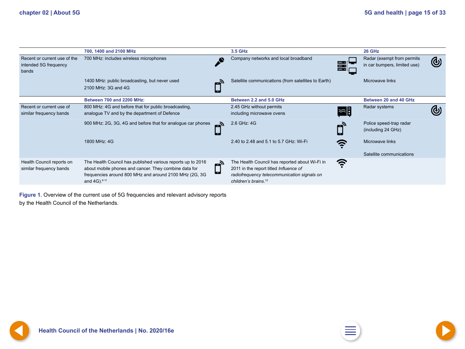<span id="page-14-0"></span>

|                                                                | 700, 1400 and 2100 MHz                                                                                                                                                                                      |                       | <b>3.5 GHz</b>                                                                                                                                                              |                  | 26 GHz                                                     |            |
|----------------------------------------------------------------|-------------------------------------------------------------------------------------------------------------------------------------------------------------------------------------------------------------|-----------------------|-----------------------------------------------------------------------------------------------------------------------------------------------------------------------------|------------------|------------------------------------------------------------|------------|
| Recent or current use of the<br>intended 5G frequency<br>bands | 700 MHz: includes wireless microphones                                                                                                                                                                      |                       | Company networks and local broadband                                                                                                                                        | $\frac{mm}{mm}$  | Radar (exempt from permits<br>in car bumpers, limited use) | $\bigcirc$ |
|                                                                | 1400 MHz: public broadcasting, but never used                                                                                                                                                               |                       | Satellite communications (from satellites to Earth)                                                                                                                         |                  | Microwave links                                            |            |
|                                                                | 2100 MHz: 3G and 4G                                                                                                                                                                                         |                       |                                                                                                                                                                             |                  |                                                            |            |
|                                                                | Between 700 and 2200 MHz:                                                                                                                                                                                   |                       | Between 2.2 and 5.0 GHz                                                                                                                                                     |                  | <b>Between 20 and 40 GHz</b>                               |            |
| Recent or current use of<br>similar frequency bands            | 800 MHz: 4G and before that for public broadcasting,<br>analogue TV and by the department of Defence                                                                                                        |                       | 2.45 GHz without permits<br>including microwave ovens                                                                                                                       | $ \mathbb{Z}^2 $ | Radar systems                                              |            |
|                                                                | 900 MHz: 2G, 3G, 4G and before that for analogue car phones                                                                                                                                                 |                       | 2.6 GHz: 4G                                                                                                                                                                 |                  | Police speed-trap radar<br>(including 24 GHz)              |            |
|                                                                | 1800 MHz: 4G                                                                                                                                                                                                |                       | 2.40 to 2.48 and 5.1 to 5.7 GHz: Wi-Fi                                                                                                                                      |                  | Microwave links                                            |            |
|                                                                |                                                                                                                                                                                                             |                       |                                                                                                                                                                             |                  | Satellite communications                                   |            |
| Health Council reports on<br>similar frequency bands           | The Health Council has published various reports up to 2016<br>about mobile phones and cancer. They combine data for<br>frequencies around 800 MHz and around 2100 MHz (2G, 3G)<br>and 4G). <sup>6-11</sup> | $\mathbf{E}_y$<br>اسا | The Health Council has reported about Wi-Fi in<br>2011 in the report titled Influence of<br>radiofrequency telecommunication signals on<br>children's brains. <sup>12</sup> | ミ                |                                                            |            |

**Figure 1.** Overview of the current use of 5G frequencies and relevant advisory reports by the Health Council of the Netherlands.



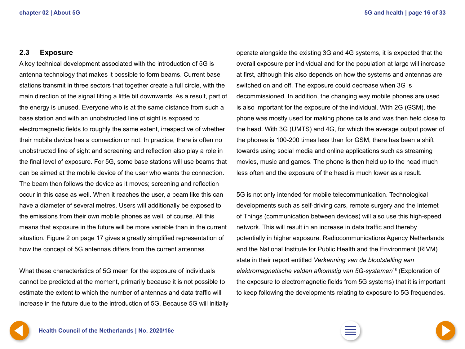#### <span id="page-15-0"></span>**2.3 Exposure**

A key technical development associated with the introduction of 5G is antenna technology that makes it possible to form beams. Current base stations transmit in three sectors that together create a full circle, with the main direction of the signal tilting a little bit downwards. As a result, part of the energy is unused. Everyone who is at the same distance from such a base station and with an unobstructed line of sight is exposed to electromagnetic fields to roughly the same extent, irrespective of whether their mobile device has a connection or not. In practice, there is often no unobstructed line of sight and screening and reflection also play a role in the final level of exposure. For 5G, some base stations will use beams that can be aimed at the mobile device of the user who wants the connection. The beam then follows the device as it moves; screening and reflection occur in this case as well. When it reaches the user, a beam like this can have a diameter of several metres. Users will additionally be exposed to the emissions from their own mobile phones as well, of course. All this means that exposure in the future will be more variable than in the current situation. Figure 2 on page 17 gives a greatly simplified representation of how the concept of 5G antennas differs from the current antennas.

What these characteristics of 5G mean for the exposure of individuals cannot be predicted at the moment, primarily because it is not possible to estimate the extent to which the number of antennas and data traffic will increase in the future due to the introduction of 5G. Because 5G will initially operate alongside the existing 3G and 4G systems, it is expected that the overall exposure per individual and for the population at large will increase at first, although this also depends on how the systems and antennas are switched on and off. The exposure could decrease when 3G is decommissioned. In addition, the changing way mobile phones are used is also important for the exposure of the individual. With 2G (GSM), the phone was mostly used for making phone calls and was then held close to the head. With 3G (UMTS) and 4G, for which the average output power of the phones is 100-200 times less than for GSM, there has been a shift towards using social media and online applications such as streaming movies, music and games. The phone is then held up to the head much less often and the exposure of the head is much lower as a result.

5G is not only intended for mobile telecommunication. Technological developments such as self-driving cars, remote surgery and the Internet of Things (communication between devices) will also use this high-speed network. This will result in an increase in data traffic and thereby potentially in higher exposure. Radiocommunications Agency Netherlands and the National Institute for Public Health and the Environment (RIVM) state in their report entitled *Verkenning van de blootstelling aan elektromagnetische velden afkomstig van 5G-systemen*18 (Exploration of the exposure to electromagnetic fields from 5G systems) that it is important to keep following the developments relating to exposure to 5G frequencies.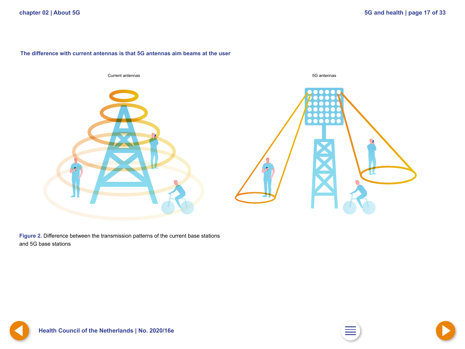#### <span id="page-16-0"></span>**The difference with current antennas is that 5G antennas aim beams at the user**



**Figure 2.** Difference between the transmission patterns of the current base stations and 5G base stations





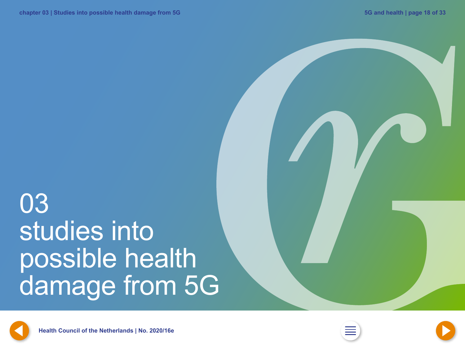# <span id="page-17-0"></span>03 studies into possible health damage from 5G



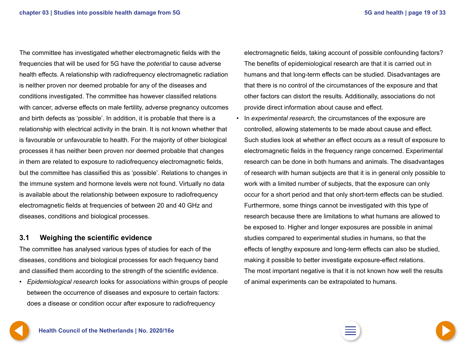<span id="page-18-0"></span>The committee has investigated whether electromagnetic fields with the frequencies that will be used for 5G have the *potential* to cause adverse health effects. A relationship with radiofrequency electromagnetic radiation is neither proven nor deemed probable for any of the diseases and conditions investigated. The committee has however classified relations with cancer, adverse effects on male fertility, adverse pregnancy outcomes and birth defects as 'possible'. In addition, it is probable that there is a relationship with electrical activity in the brain. It is not known whether that is favourable or unfavourable to health. For the majority of other biological processes it has neither been proven nor deemed probable that changes in them are related to exposure to radiofrequency electromagnetic fields, but the committee has classified this as 'possible'. Relations to changes in the immune system and hormone levels were not found. Virtually no data is available about the relationship between exposure to radiofrequency electromagnetic fields at frequencies of between 20 and 40 GHz and diseases, conditions and biological processes.

### **3.1 Weighing the scientific evidence**

The committee has analysed various types of studies for each of the diseases, conditions and biological processes for each frequency band and classified them according to the strength of the scientific evidence.

• *Epidemiological research* looks for *associations* within groups of people between the occurrence of diseases and exposure to certain factors: does a disease or condition occur after exposure to radiofrequency

electromagnetic fields, taking account of possible confounding factors? The benefits of epidemiological research are that it is carried out in humans and that long-term effects can be studied. Disadvantages are that there is no control of the circumstances of the exposure and that other factors can distort the results. Additionally, associations do not provide direct information about cause and effect.

• In *experimental research,* the circumstances of the exposure are controlled, allowing statements to be made about cause and effect. Such studies look at whether an effect occurs as a result of exposure to electromagnetic fields in the frequency range concerned. Experimental research can be done in both humans and animals. The disadvantages of research with human subjects are that it is in general only possible to work with a limited number of subjects, that the exposure can only occur for a short period and that only short-term effects can be studied. Furthermore, some things cannot be investigated with this type of research because there are limitations to what humans are allowed to be exposed to. Higher and longer exposures are possible in animal studies compared to experimental studies in humans, so that the effects of lengthy exposure and long-term effects can also be studied, making it possible to better investigate exposure-effect relations. The most important negative is that it is not known how well the results of animal experiments can be extrapolated to humans.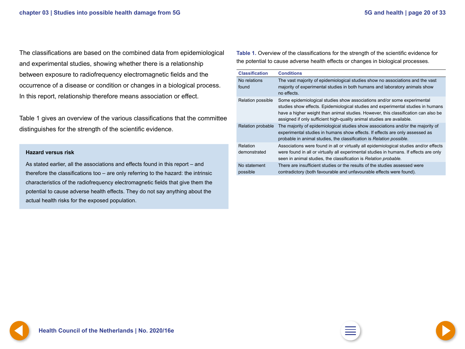<span id="page-19-0"></span>The classifications are based on the combined data from epidemiological and experimental studies, showing whether there is a relationship between exposure to radiofrequency electromagnetic fields and the occurrence of a disease or condition or changes in a biological process. In this report, relationship therefore means association or effect.

Table 1 gives an overview of the various classifications that the committee distinguishes for the strength of the scientific evidence.

#### **Hazard versus risk**

As stated earlier, all the associations and effects found in this report – and therefore the classifications too – are only referring to the hazard: the intrinsic characteristics of the radiofrequency electromagnetic fields that give them the potential to cause adverse health effects. They do not say anything about the actual health risks for the exposed population.

**Table 1.** Overview of the classifications for the strength of the scientific evidence for the potential to cause adverse health effects or changes in biological processes.

| <b>Classification</b>    | <b>Conditions</b>                                                                                                                                                                                                                                                                                                           |
|--------------------------|-----------------------------------------------------------------------------------------------------------------------------------------------------------------------------------------------------------------------------------------------------------------------------------------------------------------------------|
| No relations<br>found    | The vast majority of epidemiological studies show no associations and the vast<br>majority of experimental studies in both humans and laboratory animals show<br>no effects.                                                                                                                                                |
| Relation possible        | Some epidemiological studies show associations and/or some experimental<br>studies show effects. Epidemiological studies and experimental studies in humans<br>have a higher weight than animal studies. However, this classification can also be<br>assigned if only sufficient high-quality animal studies are available. |
| Relation probable        | The majority of epidemiological studies show associations and/or the majority of<br>experimental studies in humans show effects. If effects are only assessed as<br>probable in animal studies, the classification is Relation possible.                                                                                    |
| Relation<br>demonstrated | Associations were found in all or virtually all epidemiological studies and/or effects<br>were found in all or virtually all experimental studies in humans. If effects are only<br>seen in animal studies, the classification is Relation probable.                                                                        |
| No statement<br>possible | There are insufficient studies or the results of the studies assessed were<br>contradictory (both favourable and unfavourable effects were found).                                                                                                                                                                          |

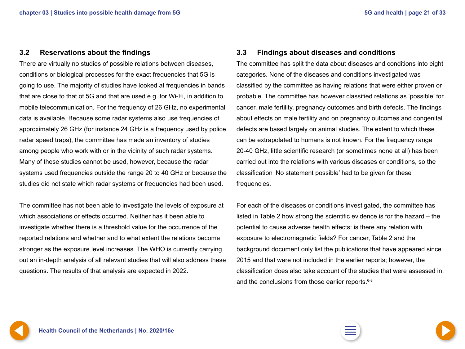### <span id="page-20-0"></span>**3.2 Reservations about the findings**

There are virtually no studies of possible relations between diseases, conditions or biological processes for the exact frequencies that 5G is going to use. The majority of studies have looked at frequencies in bands that are close to that of 5G and that are used e.g. for Wi-Fi, in addition to mobile telecommunication. For the frequency of 26 GHz, no experimental data is available. Because some radar systems also use frequencies of approximately 26 GHz (for instance 24 GHz is a frequency used by police radar speed traps), the committee has made an inventory of studies among people who work with or in the vicinity of such radar systems. Many of these studies cannot be used, however, because the radar systems used frequencies outside the range 20 to 40 GHz or because the studies did not state which radar systems or frequencies had been used.

The committee has not been able to investigate the levels of exposure at which associations or effects occurred. Neither has it been able to investigate whether there is a threshold value for the occurrence of the reported relations and whether and to what extent the relations become stronger as the exposure level increases. The WHO is currently carrying out an in-depth analysis of all relevant studies that will also address these questions. The results of that analysis are expected in 2022.

### **3.3 Findings about diseases and conditions**

The committee has split the data about diseases and conditions into eight categories. None of the diseases and conditions investigated was classified by the committee as having relations that were either proven or probable. The committee has however classified relations as 'possible' for cancer, male fertility, pregnancy outcomes and birth defects. The findings about effects on male fertility and on pregnancy outcomes and congenital defects are based largely on animal studies. The extent to which these can be extrapolated to humans is not known. For the frequency range 20-40 GHz, little scientific research (or sometimes none at all) has been carried out into the relations with various diseases or conditions, so the classification 'No statement possible' had to be given for these frequencies.

For each of the diseases or conditions investigated, the committee has listed in Table 2 how strong the scientific evidence is for the hazard – the potential to cause adverse health effects: is there any relation with exposure to electromagnetic fields? For cancer, Table 2 and the background document only list the publications that have appeared since 2015 and that were not included in the earlier reports; however, the classification does also take account of the studies that were assessed in, and the conclusions from those earlier reports.<sup>6-8</sup>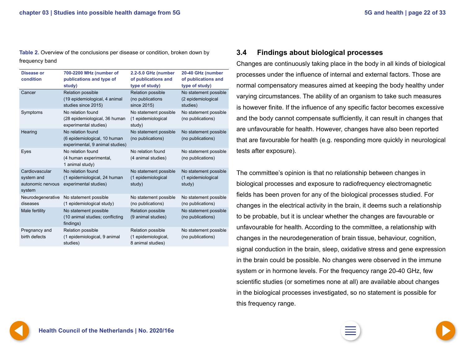<span id="page-21-0"></span>**Table 2.** Overview of the conclusions per disease or condition, broken down by frequency band

| <b>Disease or</b><br>condition                              | 700-2200 MHz (number of<br>publications and type of<br>study)                        | 2.2-5.0 GHz (number<br>of publications and<br>type of study)  | 20-40 GHz (number<br>of publications and<br>type of study) |
|-------------------------------------------------------------|--------------------------------------------------------------------------------------|---------------------------------------------------------------|------------------------------------------------------------|
| Cancer                                                      | <b>Relation possible</b><br>(19 epidemiological, 4 animal<br>studies since 2015)     | <b>Relation possible</b><br>(no publications<br>since 2015)   | No statement possible<br>(2 epidemiological<br>studies)    |
| Symptoms                                                    | No relation found<br>(28 epidemiological, 36 human<br>experimental studies)          | No statement possible<br>(1 epidemiological<br>study)         | No statement possible<br>(no publications)                 |
| Hearing                                                     | No relation found<br>(6 epidemiological, 10 human<br>experimental, 9 animal studies) | No statement possible<br>(no publications)                    | No statement possible<br>(no publications)                 |
| Eyes                                                        | No relation found<br>(4 human experimental,<br>1 animal study)                       | No relation found<br>(4 animal studies)                       | No statement possible<br>(no publications)                 |
| Cardiovascular<br>system and<br>autonomic nervous<br>system | No relation found<br>(1 epidemiological, 24 human<br>experimental studies)           | No statement possible<br>(1 epidemiological<br>study)         | No statement possible<br>(1 epidemiological<br>study)      |
| Neurodegenerative<br>diseases                               | No statement possible<br>(1 epidemiological study)                                   | No statement possible<br>(no publications)                    | No statement possible<br>(no publications)                 |
| Male fertility                                              | No statement possible<br>(10 animal studies; conflicting<br>findings)                | Relation possible<br>(9 animal studies)                       | No statement possible<br>(no publications)                 |
| Pregnancy and<br>birth defects                              | Relation possible<br>(1 epidemiological, 9 animal<br>studies)                        | Relation possible<br>(1 epidemiological,<br>8 animal studies) | No statement possible<br>(no publications)                 |

### **3.4 Findings about biological processes**

Changes are continuously taking place in the body in all kinds of biological processes under the influence of internal and external factors. Those are normal compensatory measures aimed at keeping the body healthy under varying circumstances. The ability of an organism to take such measures is however finite. If the influence of any specific factor becomes excessive and the body cannot compensate sufficiently, it can result in changes that are unfavourable for health. However, changes have also been reported that are favourable for health (e.g. responding more quickly in neurological tests after exposure).

The committee's opinion is that no relationship between changes in biological processes and exposure to radiofrequency electromagnetic fields has been proven for any of the biological processes studied. For changes in the electrical activity in the brain, it deems such a relationship to be probable, but it is unclear whether the changes are favourable or unfavourable for health. According to the committee, a relationship with changes in the neurodegeneration of brain tissue, behaviour, cognition, signal conduction in the brain, sleep, oxidative stress and gene expression in the brain could be possible. No changes were observed in the immune system or in hormone levels. For the frequency range 20-40 GHz, few scientific studies (or sometimes none at all) are available about changes in the biological processes investigated, so no statement is possible for this frequency range.



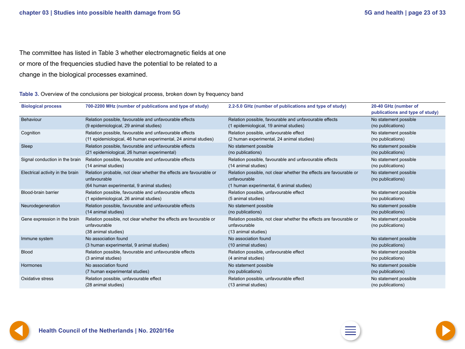<span id="page-22-0"></span>The committee has listed in Table 3 whether electromagnetic fields at one or more of the frequencies studied have the potential to be related to a change in the biological processes examined.

**Table 3.** Overview of the conclusions per biological process, broken down by frequency band

| <b>Biological process</b>        | 700-2200 MHz (number of publications and type of study)                                                                         | 2.2-5.0 GHz (number of publications and type of study)                                                                         | 20-40 GHz (number of<br>publications and type of study) |
|----------------------------------|---------------------------------------------------------------------------------------------------------------------------------|--------------------------------------------------------------------------------------------------------------------------------|---------------------------------------------------------|
| Behaviour                        | Relation possible, favourable and unfavourable effects                                                                          | Relation possible, favourable and unfavourable effects                                                                         | No statement possible                                   |
|                                  | (9 epidemiological, 29 animal studies)                                                                                          | (1 epidemiological, 19 animal studies)                                                                                         | (no publications)                                       |
| Cognition                        | Relation possible, favourable and unfavourable effects                                                                          | Relation possible, unfavourable effect                                                                                         | No statement possible                                   |
|                                  | (11 epidemiological, 46 human experimental, 24 animal studies)                                                                  | (2 human experimental, 24 animal studies)                                                                                      | (no publications)                                       |
| Sleep                            | Relation possible, favourable and unfavourable effects                                                                          | No statement possible                                                                                                          | No statement possible                                   |
|                                  | (21 epidemiological, 26 human experimental)                                                                                     | (no publications)                                                                                                              | (no publications)                                       |
| Signal conduction in the brain   | Relation possible, favourable and unfavourable effects                                                                          | Relation possible, favourable and unfavourable effects                                                                         | No statement possible                                   |
|                                  | (14 animal studies)                                                                                                             | (14 animal studies)                                                                                                            | (no publications)                                       |
| Electrical activity in the brain | Relation probable, not clear whether the effects are favourable or<br>unfavourable<br>(64 human experimental, 9 animal studies) | Relation possible, not clear whether the effects are favourable or<br>unfavourable<br>(1 human experimental, 6 animal studies) | No statement possible<br>(no publications)              |
| Blood-brain barrier              | Relation possible, favourable and unfavourable effects                                                                          | Relation possible, unfavourable effect                                                                                         | No statement possible                                   |
|                                  | (1 epidemiological, 26 animal studies)                                                                                          | (5 animal studies)                                                                                                             | (no publications)                                       |
| Neurodegeneration                | Relation possible, favourable and unfavourable effects                                                                          | No statement possible                                                                                                          | No statement possible                                   |
|                                  | (14 animal studies)                                                                                                             | (no publications)                                                                                                              | (no publications)                                       |
| Gene expression in the brain     | Relation possible, not clear whether the effects are favourable or<br>unfavourable<br>(38 animal studies)                       | Relation possible, not clear whether the effects are favourable or<br>unfavourable<br>(13 animal studies)                      | No statement possible<br>(no publications)              |
| Immune system                    | No association found                                                                                                            | No association found                                                                                                           | No statement possible                                   |
|                                  | (3 human experimental, 9 animal studies)                                                                                        | (10 animal studies)                                                                                                            | (no publications)                                       |
| <b>Blood</b>                     | Relation possible, favourable and unfavourable effects                                                                          | Relation possible, unfavourable effect                                                                                         | No statement possible                                   |
|                                  | (3 animal studies)                                                                                                              | (4 animal studies)                                                                                                             | (no publications)                                       |
| Hormones                         | No association found                                                                                                            | No statement possible                                                                                                          | No statement possible                                   |
|                                  | (7 human experimental studies)                                                                                                  | (no publications)                                                                                                              | (no publications)                                       |
| Oxidative stress                 | Relation possible, unfavourable effect                                                                                          | Relation possible, unfavourable effect                                                                                         | No statement possible                                   |
|                                  | (28 animal studies)                                                                                                             | (13 animal studies)                                                                                                            | (no publications)                                       |





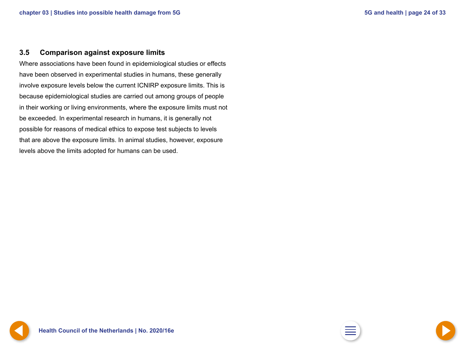#### <span id="page-23-0"></span>**3.5 Comparison against exposure limits**

Where associations have been found in epidemiological studies or effects have been observed in experimental studies in humans, these generally involve exposure levels below the current ICNIRP exposure limits. This is because epidemiological studies are carried out among groups of people in their working or living environments, where the exposure limits must not be exceeded. In experimental research in humans, it is generally not possible for reasons of medical ethics to expose test subjects to levels that are above the exposure limits. In animal studies, however, exposure levels above the limits adopted for humans can be used.

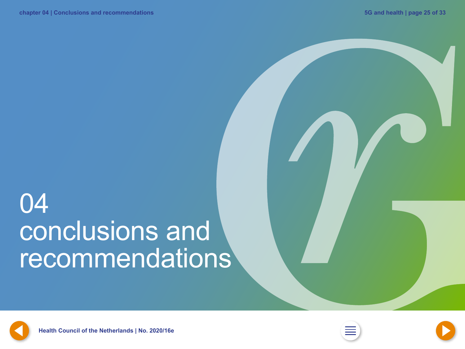# <span id="page-24-0"></span>04 conclusions and recommendations



**[24](#page-23-0) Health Council of the Netherlands | No. 2020/16e [2](#page-1-0) [26](#page-25-0)**



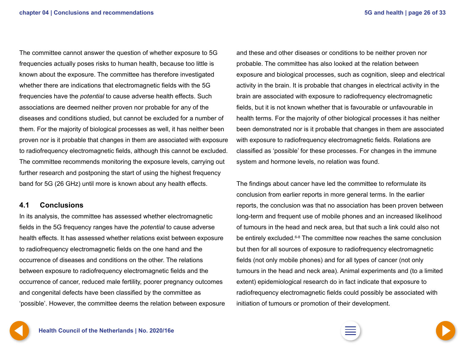<span id="page-25-0"></span>The committee cannot answer the question of whether exposure to 5G frequencies actually poses risks to human health, because too little is known about the exposure. The committee has therefore investigated whether there are indications that electromagnetic fields with the 5G frequencies have the *potential* to cause adverse health effects. Such associations are deemed neither proven nor probable for any of the diseases and conditions studied, but cannot be excluded for a number of them. For the majority of biological processes as well, it has neither been proven nor is it probable that changes in them are associated with exposure to radiofrequency electromagnetic fields, although this cannot be excluded. The committee recommends monitoring the exposure levels, carrying out further research and postponing the start of using the highest frequency band for 5G (26 GHz) until more is known about any health effects.

#### **4.1 Conclusions**

In its analysis, the committee has assessed whether electromagnetic fields in the 5G frequency ranges have the *potential* to cause adverse health effects. It has assessed whether relations exist between exposure to radiofrequency electromagnetic fields on the one hand and the occurrence of diseases and conditions on the other. The relations between exposure to radiofrequency electromagnetic fields and the occurrence of cancer, reduced male fertility, poorer pregnancy outcomes and congenital defects have been classified by the committee as 'possible'. However, the committee deems the relation between exposure

and these and other diseases or conditions to be neither proven nor probable. The committee has also looked at the relation between exposure and biological processes, such as cognition, sleep and electrical activity in the brain. It is probable that changes in electrical activity in the brain are associated with exposure to radiofrequency electromagnetic fields, but it is not known whether that is favourable or unfavourable in health terms. For the majority of other biological processes it has neither been demonstrated nor is it probable that changes in them are associated with exposure to radiofrequency electromagnetic fields. Relations are classified as 'possible' for these processes. For changes in the immune system and hormone levels, no relation was found.

The findings about cancer have led the committee to reformulate its conclusion from earlier reports in more general terms. In the earlier reports, the conclusion was that no association has been proven between long-term and frequent use of mobile phones and an increased likelihood of tumours in the head and neck area, but that such a link could also not be entirely excluded.6-8 The committee now reaches the same conclusion but then for all sources of exposure to radiofrequency electromagnetic fields (not only mobile phones) and for all types of cancer (not only tumours in the head and neck area). Animal experiments and (to a limited extent) epidemiological research do in fact indicate that exposure to radiofrequency electromagnetic fields could possibly be associated with initiation of tumours or promotion of their development.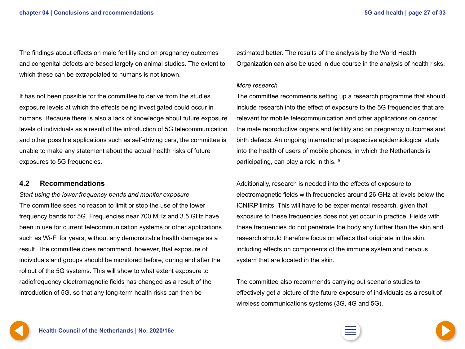<span id="page-26-0"></span>The findings about effects on male fertility and on pregnancy outcomes and congenital defects are based largely on animal studies. The extent to which these can be extrapolated to humans is not known.

It has not been possible for the committee to derive from the studies exposure levels at which the effects being investigated could occur in humans. Because there is also a lack of knowledge about future exposure levels of individuals as a result of the introduction of 5G telecommunication and other possible applications such as self-driving cars, the committee is unable to make any statement about the actual health risks of future exposures to 5G frequencies.

### **4.2 Recommendations**

*Start using the lower frequency bands and monitor exposure*  The committee sees no reason to limit or stop the use of the lower frequency bands for 5G. Frequencies near 700 MHz and 3.5 GHz have been in use for current telecommunication systems or other applications such as Wi-Fi for years, without any demonstrable health damage as a result. The committee does recommend, however, that exposure of individuals and groups should be monitored before, during and after the rollout of the 5G systems. This will show to what extent exposure to radiofrequency electromagnetic fields has changed as a result of the introduction of 5G, so that any long-term health risks can then be

estimated better. The results of the analysis by the World Health Organization can also be used in due course in the analysis of health risks.

#### *More research*

The committee recommends setting up a research programme that should include research into the effect of exposure to the 5G frequencies that are relevant for mobile telecommunication and other applications on cancer, the male reproductive organs and fertility and on pregnancy outcomes and birth defects. An ongoing international prospective epidemiological study into the health of users of mobile phones, in which the Netherlands is participating, can play a role in this.19

Additionally, research is needed into the effects of exposure to electromagnetic fields with frequencies around 26 GHz at levels below the ICNIRP limits. This will have to be experimental research, given that exposure to these frequencies does not yet occur in practice. Fields with these frequencies do not penetrate the body any further than the skin and research should therefore focus on effects that originate in the skin, including effects on components of the immune system and nervous system that are located in the skin.

The committee also recommends carrying out scenario studies to effectively get a picture of the future exposure of individuals as a result of wireless communications systems (3G, 4G and 5G).

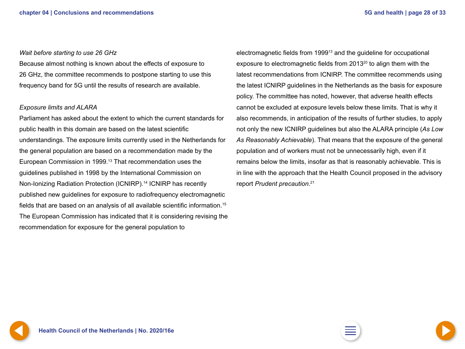#### <span id="page-27-0"></span>*Wait before starting to use 26 GHz*

Because almost nothing is known about the effects of exposure to 26 GHz, the committee recommends to postpone starting to use this frequency band for 5G until the results of research are available.

#### *Exposure limits and ALARA*

Parliament has asked about the extent to which the current standards for public health in this domain are based on the latest scientific understandings. The exposure limits currently used in the Netherlands for the general population are based on a recommendation made by the European Commission in 1999.<sup>13</sup> That recommendation uses the guidelines published in 1998 by the International Commission on Non-Ionizing Radiation Protection (ICNIRP).14 ICNIRP has recently published new guidelines for exposure to radiofrequency electromagnetic fields that are based on an analysis of all available scientific information.<sup>15</sup> The European Commission has indicated that it is considering revising the recommendation for exposure for the general population to

electromagnetic fields from 199913 and the guideline for occupational exposure to electromagnetic fields from 2013<sup>20</sup> to align them with the latest recommendations from ICNIRP. The committee recommends using the latest ICNIRP guidelines in the Netherlands as the basis for exposure policy. The committee has noted, however, that adverse health effects cannot be excluded at exposure levels below these limits. That is why it also recommends, in anticipation of the results of further studies, to apply not only the new ICNIRP guidelines but also the ALARA principle (*As Low As Reasonably Achievable*). That means that the exposure of the general population and of workers must not be unnecessarily high, even if it remains below the limits, insofar as that is reasonably achievable. This is in line with the approach that the Health Council proposed in the advisory report *Prudent precaution*. 21

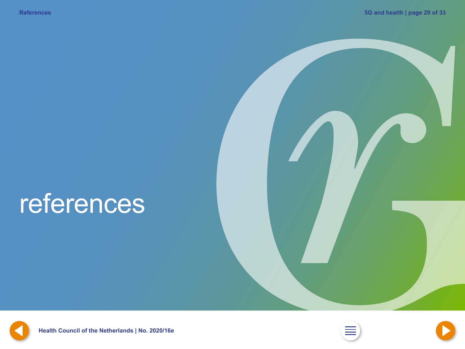## <span id="page-28-0"></span>references



**[28](#page-27-0) Health Council of the Netherlands | No. 2020/16e [2](#page-1-0) [30](#page-29-0)**



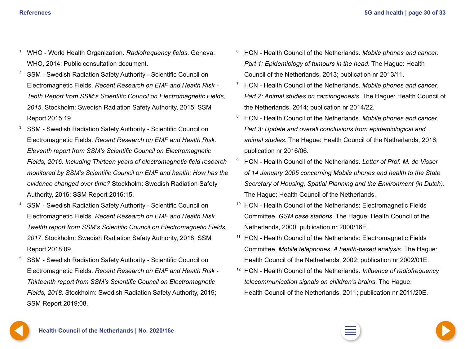- <span id="page-29-0"></span><sup>1</sup> WHO - World Health Organization. *Radiofrequency fields*. Geneva: WHO, 2014; Public consultation document.
- <sup>2</sup> SSM Swedish Radiation Safety Authority Scientific Council on Electromagnetic Fields. *Recent Research on EMF and Health Risk - Tenth Report from SSM:s Scientific Council on Electromagnetic Fields, 2015*. Stockholm: Swedish Radiation Safety Authority, 2015; SSM Report 2015:19.
- <sup>3</sup> SSM Swedish Radiation Safety Authority Scientific Council on Electromagnetic Fields. *Recent Research on EMF and Health Risk. Eleventh report from SSM's Scientific Council on Electromagnetic Fields, 2016. Including Thirteen years of electromagnetic field research monitored by SSM's Scientific Council on EMF and health: How has the evidence changed over time?* Stockholm: Swedish Radiation Safety Authority, 2016; SSM Report 2016:15.
- <sup>4</sup> SSM Swedish Radiation Safety Authority Scientific Council on Electromagnetic Fields. *Recent Research on EMF and Health Risk. Twelfth report from SSM's Scientific Council on Electromagnetic Fields, 2017*. Stockholm: Swedish Radiation Safety Authority, 2018; SSM Report 2018:09.
- <sup>5</sup> SSM Swedish Radiation Safety Authority Scientific Council on Electromagnetic Fields. *Recent Research on EMF and Health Risk - Thirteenth report from SSM's Scientific Council on Electromagnetic Fields, 2018*. Stockholm: Swedish Radiation Safety Authority, 2019; SSM Report 2019:08.
- <sup>6</sup> HCN Health Council of the Netherlands. *Mobile phones and cancer. Part 1: Epidemiology of tumours in the head*. The Hague: Health Council of the Netherlands, 2013; publication nr 2013/11.
- <sup>7</sup> HCN Health Council of the Netherlands. *Mobile phones and cancer. Part 2: Animal studies on carcinogenesis*. The Hague: Health Council of the Netherlands, 2014; publication nr 2014/22.
- <sup>8</sup> HCN Health Council of the Netherlands. *Mobile phones and cancer. Part 3: Update and overall conclusions from epidemiological and animal studies*. The Hague: Health Council of the Netherlands, 2016; publication nr 2016/06.
- <sup>9</sup> HCN Health Council of the Netherlands. *Letter of Prof. M. de Visser of 14 January 2005 concerning Mobile phones and health to the State Secretary of Housing, Spatial Planning and the Environment (in Dutch)*. The Hague: Health Council of the Netherlands.
- $10$  HCN Health Council of the Netherlands: Electromagnetic Fields Committee. *GSM base stations*. The Hague: Health Council of the Netherlands, 2000; publication nr 2000/16E.
- <sup>11</sup> HCN Health Council of the Netherlands: Electromagnetic Fields Committee. *Mobile telephones. A health-based analysis.* The Hague: Health Council of the Netherlands, 2002; publication nr 2002/01E.
- <sup>12</sup> HCN Health Council of the Netherlands. *Influence of radiofrequency telecommunication signals on children's brains*. The Hague: Health Council of the Netherlands, 2011; publication nr 2011/20E.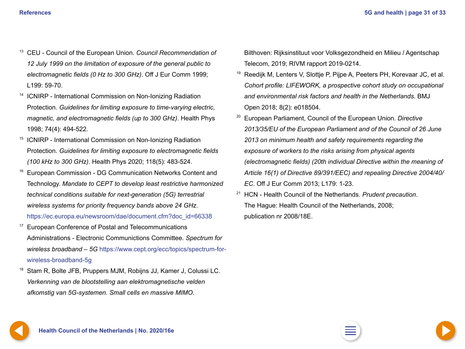- <span id="page-30-0"></span><sup>13</sup> CEU - Council of the European Union. *Council Recommendation of 12 July 1999 on the limitation of exposure of the general public to electromagnetic fields (0 Hz to 300 GHz)*. Off J Eur Comm 1999; L199: 59-70.
- <sup>14</sup> ICNIRP International Commission on Non-Ionizing Radiation Protection. *Guidelines for limiting exposure to time-varying electric, magnetic, and electromagnetic fields (up to 300 GHz)*. Health Phys 1998; 74(4): 494-522.
- <sup>15</sup> ICNIRP International Commission on Non-Ionizing Radiation Protection. *Guidelines for limiting exposure to electromagnetic fields (100 kHz to 300 GHz)*. Health Phys 2020; 118(5): 483-524.
- <sup>16</sup> European Commission DG Communication Networks Content and Technology. *Mandate to CEPT to develop least restrictive harmonized technical conditions suitable for next-generation (5G) terrestrial wireless systems for priority frequency bands above 24 GHz*. https://ec.europa.eu/newsroom/dae/document.cfm?doc\_id=66338
- <sup>17</sup> European Conference of Postal and Telecommunications Administrations - Electronic Communictions Committee. *Spectrum for wireless broadband – 5G* [https://www.cept.org/ecc/topics/spectrum-for](https://www.cept.org/ecc/topics/spectrum-for-wireless-broadband-5g)[wireless-broadband-5g](https://www.cept.org/ecc/topics/spectrum-for-wireless-broadband-5g)
- <sup>18</sup> Stam R, Bolte JFB, Pruppers MJM, Robijns JJ, Kamer J, Colussi LC. *Verkenning van de blootstelling aan elektromagnetische velden afkomstig van 5G-systemen. Small cells en massive MIMO*.

Bilthoven: Rijksinstituut voor Volksgezondheid en Milieu / Agentschap Telecom, 2019; RIVM rapport 2019-0214.

- <sup>19</sup> Reedijk M, Lenters V, Slottje P, Pijpe A, Peeters PH, Korevaar JC, et al. *Cohort profile: LIFEWORK, a prospective cohort study on occupational and environmental risk factors and health in the Netherlands*. BMJ Open 2018; 8(2): e018504.
- <sup>20</sup> European Parliament, Council of the European Union. *Directive 2013/35/EU of the European Parliament and of the Council of 26 June 2013 on minimum health and safety requirements regarding the exposure of workers to the risks arising from physical agents (electromagnetic fields) (20th individual Directive within the meaning of Article 16(1) of Directive 89/391/EEC) and repealing Directive 2004/40/ EC*. Off J Eur Comm 2013; L179: 1-23.
- <sup>21</sup> HCN Health Council of the Netherlands. *Prudent precaution*. The Hague: Health Council of the Netherlands, 2008; publication nr 2008/18E.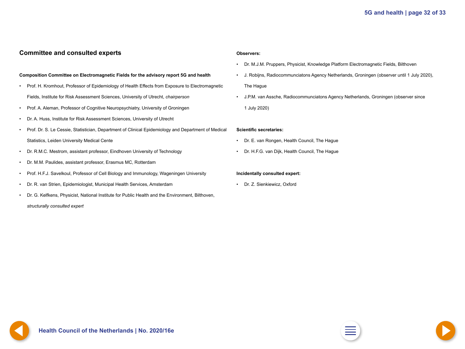#### <span id="page-31-0"></span>**Committee and consulted experts**

#### **Composition Committee on Electromagnetic Fields for the advisory report 5G and health**

- Prof. H. Kromhout, Professor of Epidemiology of Health Effects from Exposure to Electromagnetic Fields, Institute for Risk Assessment Sciences, University of Utrecht, *chairperson*
- Prof. A. Aleman, Professor of Cognitive Neuropsychiatry, University of Groningen
- Dr. A. Huss, Institute for Risk Assessment Sciences, University of Utrecht
- Prof. Dr. S. Le Cessie, Statistician, Department of Clinical Epidemiology and Department of Medical Statistics, Leiden University Medical Cente
- Dr. R.M.C. Mestrom, assistant professor, Eindhoven University of Technology
- Dr. M.M. Paulides, assistant professor, Erasmus MC, Rotterdam
- Prof. H.F.J. Savelkoul, Professor of Cell Biology and Immunology, Wageningen University
- Dr. R. van Strien, Epidemiologist, Municipal Health Services, Amsterdam
- Dr. G. Kelfkens, Physicist, National Institute for Public Health and the Environment, Bilthoven, *structurally consulted expert*

#### **Observers:**

- Dr. M.J.M. Pruppers, Physicist, Knowledge Platform Electromagnetic Fields, Bilthoven
- J. Robijns, Radiocommunciatons Agency Netherlands, Groningen (observer until 1 July 2020), The Hague
- J.P.M. van Assche, Radiocommunciatons Agency Netherlands, Groningen (observer since 1 July 2020)

#### **Scientific secretaries:**

- Dr. E. van Rongen, Health Council, The Hague
- Dr. H.F.G. van Dijk, Health Council, The Hague

#### **Incidentally consulted expert:**

• Dr. Z. Sienkiewicz, Oxford